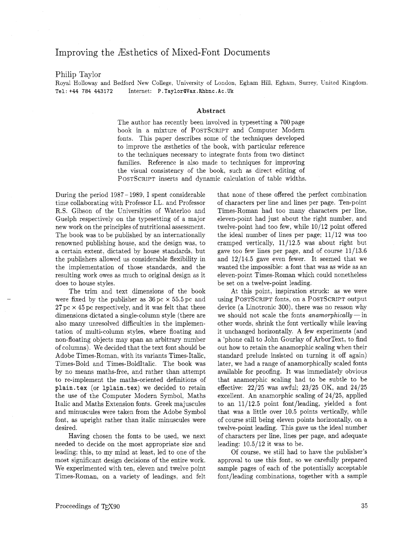## Improving the Bsthetics of Mixed-Font Documents

## Philip Taylor

Royal Holloway and Bedford New College, University of London. Egham Hill, Egham. Surrey, United Kingdom. Tel: +44 784 443172 Internet: **P.TaylorOVax.Rhbnc.Ac.Uk** 

## **Abstract**

The author has recently been involved in typesetting a 700 page book in a mixture of POSTSCRIPT and Computer Modern fonts. This paper describes some of the techniques developed to improve the æsthetics of the book, with particular reference to the techniques necessary to integrate fonts from two distinct families. Reference is also made to techniques for improving the visual consistency of the book, such as direct editing of POSTSCRIPT inserts and dynamic calculation of table widths.

During the period 1987- 1989, I spent considerable time collaborating with Professor I.L. and Professor R.S. Gibson of the Universities of Waterloo and Guelph respectively on the typesetting of a major new work on the principles of nutritional assessment. The book was to be published by an internationally renowned publishing house, and the design was, to a certain extent. dictated by house standards, but the publishers allowed us considerable flexibility in the implementation of those standards, and the resulting work owes as much to original design as it does to house styles.

The trim and text dimensions of the book were fixed by the publisher as  $36\,\mathrm{pc} \times 55.5\,\mathrm{pc}$  and  $27 \,\mathrm{pc} \times 45 \,\mathrm{pc}$  respectively, and it was felt that these dimensions dictated a single-column style (there are also many unresolved difficulties in the implementation of multi-column styles, where floating and non-floating objects may span an arbitrary number of columns). We decided that the text font should be Adobe Times-Roman, with its variants Times-Italic, Times-Bold and Times-BoldItalic. The book was by no means maths-free, and rather than attempt to re-implement the maths-oriented definitions of plain. **tex** (or lplain. **tex)** we decided to retain the use of the Computer Modern Symbol, Maths Italic and Maths Extension fonts. Greek majuscules and minuscules were taken from the Adobe Symbol font, as upright rather than italic minuscules were desired.

Having chosen the fonts to be used, we next needed to decide on the most appropriate size and leading; this, to my mind at least, led to one of the most significant design decisions of the entire work. We experimented with ten. eleven and twelve point Times-Roman, on a variety of leadings. and felt that none of these offered the perfect combination of characters per line and lines per page. Ten-point Times-Roman had too many characters per line, eleven-point had just about the right number. and twelve-point had too few, while  $10/12$  point offered the ideal number of lines per page; 11/12 was too cramped vertically,  $11/12.5$  was about right but gave too few lines per page, and of course 11/13.6 and  $12/14.5$  gave even fewer. It seemed that we wanted the impossible: a font that was as wide as an eleven-point Times-Roman which could nonetheless be set on a twelve-point leading.

At this point, inspiration struck: as we were using POSTSCRIPT fonts, on a POSTSCRIPT output device (a Linotronic 300), there was no reason why we should not scale the fonts anamorphically  $-$  in other words, shrink the font vertically while leaving it unchanged horizontally. A few experiments (and a 'phone call to John Gourlay of ArborText, to find out how to retain the anamorphic scaling when their standard prelude insisted on turning it off again) later, we had a range of anamorphically scaled fonts available for proofing. It was immediately obvious that anamorphic scaling had to be subtle to be effective:  $22/25$  was awful;  $23/25$  OK, and  $24/25$ excellent. An anamorphic scaling of 24/25. applied to an  $11/12.5$  point font/leading, yielded a font that was a little over 10.5 points vertically, while of course still being eleven points horizontally, on a twelve-point leading. This gave us the ideal number of characters per line, lines per page, and adequate leading:  $10.5/12$  it was to be.

Of course. we still had to have the publisher's approval to use this font, so we carefully prepared sample pages of each of the potentially acceptable font/leading combinations, together with a sample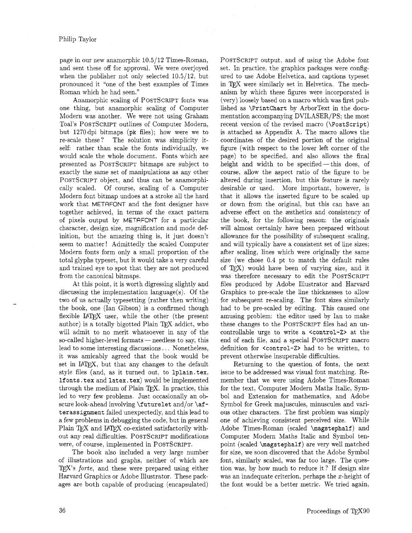page in our new anamorphic 10.5/12 Times-Roman, and sent these off for approval. We were overjoyed when the publisher not only selected 10.5/12. but pronounced it "one of the best examples of Times Roman which he had seen."

Anamorphic scaling of POSTSCRIPT fonts was one thing, but anamorphic scaling of Computer Modern was another. We were not using Graham Toal's POSTSCRIPT outlines of Computer Modern, but 1270 dpi bitmaps (pk files); how were we to re-scale these? The solution was simplicity itself: rather than scale the fonts individually, we would scale the whole document. Fonts which are presented as POSTSCRIPT bitmaps are subject to exactly the same set of manipulations as any other POSTSCRIPT object, and thus can be anamorphically scaled. Of course, scaling of a Computer Modern font bitmap undoes at a stroke all the hard work that METAFONT and the font designer have together achieved, in terms of the exact pattern of pixels output by METAFONT for a particular character, design size, magnification and mode definition, but the amazing thing is, it just doesn't seem to matter ! Admittedly the scaled Computer Modern fonts form only a small proportion of the total glyphs typeset, but it would take a very careful and trained eye to spot that they are not produced from the canonical bitmaps.

At this point, it is worth digressing slightly and discussing the implementation language $(s)$ . Of the two of us actually typesetting (rather then writing) the book, one (Ian Gibson) is a confirmed though flexible  $IATFX$  user, while the other (the present author) is a totally bigotted Plain **5Y** addict, who will admit to no merit whatsoever in any of the so-called higher-level formats - needless to say, this lead to some interesting discussions.. . Nonetheless, it was amicably agreed that the book would be set in IAT<sub>F</sub>X, but that any changes to the default style files (and, as it turned out, to 1plain.tex. If onts . t ex and latex. tex) would be implemented through the medium of Plain TEX. In practice, this led to very few problems. Just occasionally an obscure look-ahead involving *\futurelet and/or \af*t erass ignment failed unexpectedly, and this lead to a few problems in debugging the code, but in general Plain T<sub>F</sub>X and IAT<sub>F</sub>X co-existed satisfactorily without any real difficulties. POSTSCRIPT modifications were, of course. implemented in POSTSCRIPT.

The book also included a very large number of illustrations and graphs, neither of which are TEX's forte, and these were prepared using either Harvard Graphics or Adobe Illustrator. These packages are both capable of producing (encapsulated)

POSTSCRIPT output, and of using the Adobe font set. In practice, the graphics packages were configured to use Adobe Helvetica. and captions typeset in T<sub>F</sub>X were similarly set in Helvetica. The mechanism by which these figures were incorporated is (very) loosely based on a macro which was first published as \Printchart by ArborText in the documentation accompanying DVILASER/PS; the most recent version of the revised macro (\PostScript) is attached as Appendix A. The macro allows the coordinates of the desired portion of the original figure (with respect to the lower left corner of the page) to be specified, and also allows the final height and width to be specified—this does, of course, allow the aspect ratio of the figure to be altered during insertion, but this feature is rarely desirable or used. More important, however, is that it allows the inserted figure to be scaled up or down from the original, but this can have an adverse effect on the zsthetics and consistency of the book, for the following reason: the originals will almost certainly have been prepared without allowance for the possibility of subsequent scaling, and will typically have a consistent set of line sizes: after scaling, lines which were originally the same size (we chose 0.4 pt to match the default rules of  $Tr(X)$  would have been of varying size, and it was therefore necessary to edit the POSTSCRIPT files produced by Adobe Illustrator and Harvard Graphics to pre-scale the line thicknesses to allow for subsequent re-scaling. The font sizes similarly had to be pre-scaled by editing. This caused one amusing problem: the editor used by Ian to make these changes to the POSTSCRIPT files had an uncontrollable urge to write a <control-Z> at the end of each file, and a special POSTSCRIPT macro definition for <control-Z> had to be written, to prevent otherwise insuperable difficulties.

Returning to the question of fonts, the next issue to be addressed was visual font matching. Remember that we were using Adobe Times-Roman for the text, Computer Modern Maths Italic, Symbol and Extension for mathematics, and Adobe Symbol for Greek majuscules. minuscules and various other characters. The first problem was simply one of achieving consistent perceived size. While Adobe Times-Roman (scaled \magst ephalf ) and Computer Modern Maths Italic and Symbol tenpoint (scaled \magstephalf) are very well matched for size, we soon discovered that the Adobe Symbol font, similarly scaled, was far too large. The question was, by how much to reduce it ? If design size was an inadequate criterion, perhaps the z-height of the font would be a better metric. We tried again.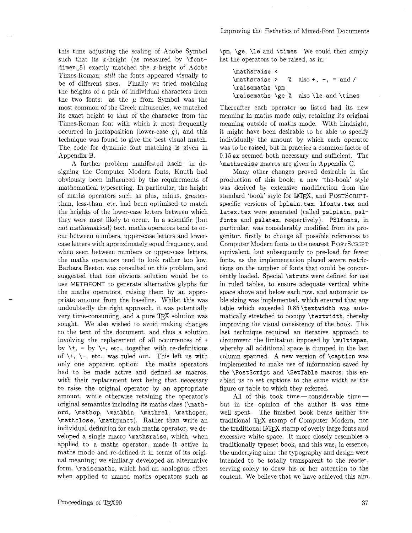this time adjusting the scaling of Adobe Symbol such that its  $x$ -height (as measured by  $\forall$ fontdimen<sub> $\cup$ </sub>5) exactly matched the x-height of Adobe Times-Roman: *still* the fonts appeared visually to be of different sizes. Finally we tried matching the heights of a pair of individual characters from the two fonts: as the  $\mu$  from Symbol was the most common of the Greek minuscules, we matched its exact height to that of the character from the Times-Roman font with which it most frequently occurred in juxtaposition (lower-case  $q$ ), and this technique was found to give the best visual match. The code for dynamic font matching is given in Appendix B.

A further problem manifested itself: in designing the Computer Modern fonts, Knuth had obviously been influenced by the requirements of mathematical typesetting. In particular. the height of maths operators such as plus. minus, greaterthan, less-than, etc. had been optimised to match the heights of the lower-case letters between which they were most likely to occur. In a scientific (but not mathematical) text. maths operators tend to occur between numbers, upper-case letters and lowercase letters with approximately equal frequency, and when seen between numbers or upper-case letters, the maths operators tend to look rather too low. Barbara Beeton was consulted on this problem, and suggested that one obvious solution would be to use METAFONT to generate alternative glyphs for the maths operators, raising them by an appropriate amount from the baseline. Whilst this was undoubtedly the right approach, it was potentially very time-consuming, and a pure  $T\not\vdash X$  solution was sought. We also wished to avoid making changes to the text of the document. and thus a solution involving the replacement of all occurrences of + by  $\forall$ , - by  $\forall$ -, etc., together with re-definitions of  $\setminus +$ ,  $\setminus -$ , etc., was ruled out. This left us with only one apparent option: the maths operators had to be made active and defined as macros. with their replacement text being that necessary to raise the original operator by an appropriate amount, while otherwise retaining the operator's original semantics including its maths class (\mathord, \mathop, \mathbin, \mathrel, \mathopen, \mathclose, \mathpunct). Rather than write an individual definition for each maths operator, we developed a single macro \mathsraise, which, when applied to a maths operator, made it active in maths mode and re-defined it in terms of its original meaning: we similarly developed an alternative form. \raisemaths, which had an analogous effect when applied to named maths operators such as

 $\pm$ ,  $\geq$ ,  $\leq$  and  $\times$ . We could then simply list the operators to be raised, as in:

| \mathsraise <   |  |                                       |
|-----------------|--|---------------------------------------|
|                 |  | $\mathcal{L}$ also +, -, = and /      |
| \raisemaths \pm |  |                                       |
|                 |  | \raisemaths \ge % also \le and \times |

Thereafter each operator so listed had its new meaning in maths mode only, retaining its original meaning outside of maths mode. With hindsight, it might have been desirable to be able to specify individually the amount by which each operator was to be raised, but in practice a common factor of 0.15 ex seemed both necessary and sufficient. The \mathsraise macros are given in Appendix C.

Many other changes proved desirable in the production of this book; a new 'the-book' style was derived by extensive modification from the standard 'book' style for IATFX, and POSTSCRIPTspecific versions of 1plain.tex, 1fonts.tex and 1atex.tex were generated (called pslplain, pslfonts and pslatex, respectively). PS1fonts, in particular, was considerably modified from its progenitor, firstly to change all possible references to Computer Modern fonts to the nearest POSTSCRIPT equivalent, but subsequently to pre-load far fewer fonts, as the implementation placed severe restrictions on the number of fonts that could be concurrently loaded. Special \struts were defined for use in ruled tables, to ensure adequate vertical white space above and below each row, and automatic table sizing was implemented, which ensured that any table which exceeded 0,85\textwidth was automatically stretched to occupy \textwidth, thereby improving the visual consistency of the book. This last technique required an iterative approach to circumvent the limitation imposed by \multispan. whereby all additional space is dumped in the last column spanned. A new version of \caption was implemented to make use of information saved by the \Postscript and \SetTable macros; this enabled us to set captions to the same width as the figure or table to which they referred.

All of this took time-considerable timebut in the opinion of the author it was time well spent. The finished book bears neither the traditional TEX stamp of Computer Modern, nor the traditional IAT<sub>F</sub>X stamp of overly large fonts and excessive white space. It more closely resembles a traditionally typeset book, and this was. in essence, the underlying aim: the typography and design were intended to be totally transparent to the reader. serving solely to draw his or her attention to the content. We believe that we have achieved this aim.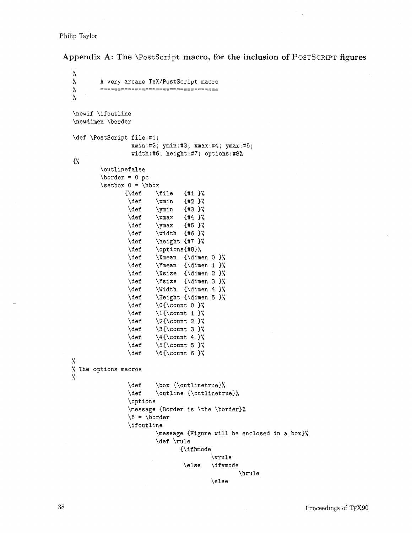Philip Taylor

**Appendix A: The \Postscript macro, for the inclusion of POSTSCRIPT figures** 

```
\%\frac{9}{6}A very arcane TeX/PostScript macro
%
         ====================================
%
\newif \ifoutline
\newdimen \border 
\def \PostScript file:#l; 
                  xmin:#2; ymin:#3; xmax:#4; ymax:#5; 
                  width:#6; height:#7; options:#8% 
C% 
         \outlinef alse 
         \b{border = 0 pc}\setminus \setminus 0 = \setminus hbox
                          \file
                \{\delta\}{41} \%\def 
                          \mathrm{mm} {#2 }%
                 \def 
                          \ymin {#3 }%
                 \def 
                          \times (#4)%
                 \def 
                          \ymax {#5 }%
                 \def 
                          \width {#6 }%
                 \def 
                          \height {#7 }%
                 \def 
                          \options{#8}%
                 \def 
                          \Xmean {\dimen 0 }%
                 \def 
                          \Ymean {\dimen 1 }%
                 \def 
                          \Xsize {\dimen 2 }%
                 \def 
                          \Ysize {\dimen 3 }%
                          \Width {\dimen 4 }%
                 \def 
                 \def 
                          \Height {\dimen 5 }%
                          \O(\count 0)\def 
                 \def 
                          \1{\count 1 }%
                 \def 
                          \2{\count 2 }%
                 \def 
                          \3{\count 3 }%
                          \Upsilon \4{\count 4 }%
                 \def 
                 \def 
                          \S(\count 5 )\def 
                          \6{\count 6} )%
% 
% The options macros 
% 
                 \def 
                          \box {\outlinetrue}%
                 \def 
                          \outline {\outlinetrue}%
                 \options 
                 \message {Border is \the \border)% 
                 6 = \bord\ifoutline
                          \message {Figure will be enclosed in a box)% 
                          \def \rule 
                                  {\if hmode 
                                            \vrule 
                                   \else \ifmode 
                                                    \hrule 
                                           \else
```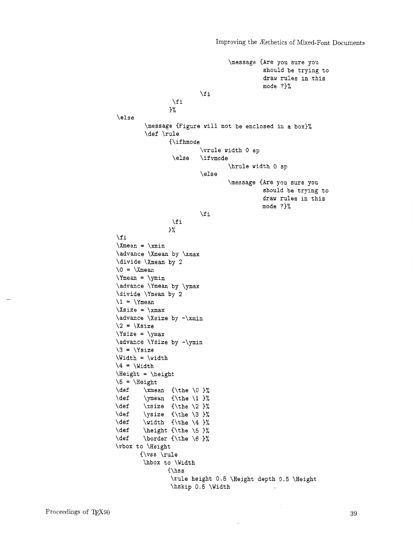Improving the Rsthetics of Mixed-Font Documents

\message CAre you sure you should be trying to draw rules in this mode ?}%  $\sqrt{fi}$  $\chi$  i 3% \else \message {Figure will not be enclosed in a box)% \def \rule {\ifhmode \vrule width 0 sp \else \ifmode \hrule width 0 sp \else \message CAre you sure you should be trying to draw rules in this mode ?)%  $\chi$ fi  $\sqrt{fi}$ 3%  $\chi$ fi  $\mathrm{Xmean} = \mathrm{xmin}$ \advance \Xmean by \xmax \divide \Xmean by 2  $\0 = \X$ mean  $\Y$ mean =  $\ymin$  $\advance \Ymean by \ymax$ \divide \Ymean by 2  $\1 = \Y$ mean  $\xrightarrows$ \advance \Xsize by -\xmin  $\2 = \Xsize$  $\Ysize = \ymax$  $\alpha$ ce  $\Ysize$  by - $\gamma$  $\3 = \Y \size$  $\widetilde{\text{width}} = \widetilde{\text{width}}$  $\{4 = \Width\}$ \Height = \height  $\5 = \Height$  $\det$  \xmean {\the \0 }%  $\text{def} \quad \text{vmean} \quad \text{the} \quad 3$ \def \xsize {\the **\2** 3% \def \ysize {\the \3 }%  $\det$   $\widetilde{\theta}$   $\in$   $\frac{3}{4}$ \def \height {\the \5 }% \def \border {\the \6 }% \vbox to \Height  $\{ \vss \ \rule{0.2cm}{0.4cm} \text{rule}$ \hbox to \Width  $\{\hbox{\$ hspace{.1cm}s} \rule height 0.5 \Height depth 0.5 \Height \hskip 0.5 \Width

39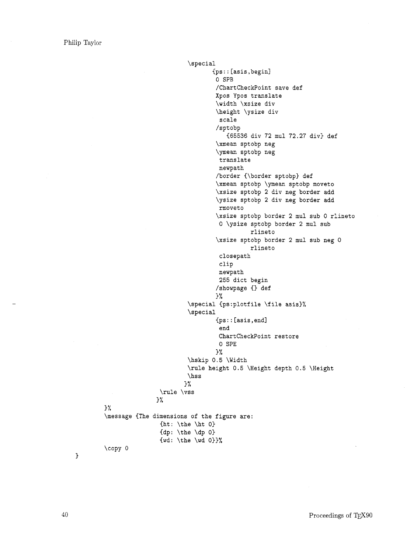```
\special 
                                  Ips : : [asis, begin] 
                                   0 SPB 
                                   /Chartcheckpoint save def 
                                   Xpos Ypos translate 
                                   \width \xsize div 
                                   \height \ysize div 
                                    scale 
                                   /sptobp 
                                      (65536 div 72 mu1 72.27 div) def 
                                   \xmean sptobp neg 
                                   \ymean sptobp neg
                                    translate 
                                    newpath 
                                   /border {\border sptobp) def 
                                   \xmean sptobp \ymean sptobp moveto 
                                   \xsize sptobp 2 div neg border add 
                                   \ysize sptobp 2 div neg border add 
                                    rnoveto 
                                   \xsize sptobp border 2 mu1 sub 0 rlineto 
                                    0 \ysize sptobp border 2 mu1 sub 
                                              rlineto 
                                   \xsize sptobp border 2 mu1 sub neg 0 
                                              rlineto 
                                    closepath 
                                    clip 
                                    newpath 
                                    255 dict begin 
                                   /showpage {} def
                                   3 % 
                          \special {ps:plotfile \file asis}%
                          \special 
                                   Cps : : [asis, end1 
                                    end 
                                    Chartcheckpoint restore 
                                    0 SPE 
                                   3% 
                          \hskip 0.5 \Width 
                          \rule height 0.5 \Height depth 0.5 \Height 
                          \hss 
                         3% 
                 \rule \vss 
                3 % 
\message (The dimensions of the figure are: 
                 \{ht: \the \h\}\{dp: \theta \dp 03
                 \{wd: \theta \wedge \text{wd} 0\}%
\copy 0
```
 $\mathcal{F}$ 

3 %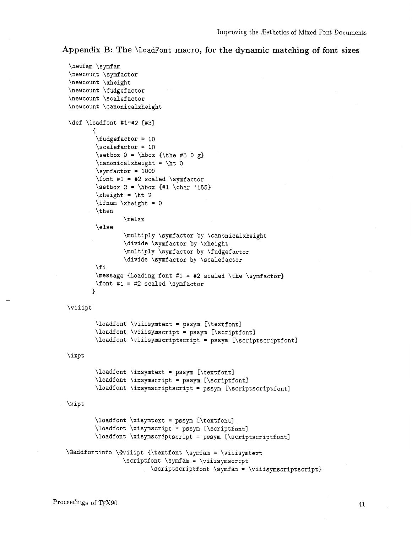**Appendix B: The** \LoadFont **macro, for the dynamic matching of font sizes** 

```
\newf am \symf am 
\newcount \symf actor 
\newcount \xheight 
\newcount \f udgef actor 
\newcount \scalef actor 
\newcount \canonicalxheight 
\def \loadfont #1=#2 [#31 
        \overline{A}\fudgef actor = 10 
         \scalefactor = 10 
         \setminus 0 = \hbox{ \the #3 0 g}\{\text{candidate} = \hbar 0\}\sqrt{\text{sqrt} = 1000}\forall font #1 = #2 scaled \sum_{i=1}^{n}\setminus 2 = \hbox{box } f#1 \cdot '155\xi > \\tdots 2
         \int \xheight = 0\then 
                  \relax 
         \else 
                  \multiply \symfactor by \canonicalxheight 
                  \divide \syrnfactor by \xheight 
                  \multiply \symf actor by \f udgef actor 
                  \divide \symf actor by \scalef actor 
         \fi 
         \message {Loading font #I = #2 scaled \the \symfactor) 
         \forall font #1 = #2 scaled \sum1 
\viiipt
         \load font \viiisymtext = pssym [\textfont]
         \loadfont \viiisymscript = pssym [\scriptfont] 
         \loadfont \viiisymscriptscript = pssym [\scriptscriptfont1 
\ixpt
         \loadfont \ixsymtext = pssym [\textfont] 
         \loadfont \ixsymscript = pssym [\scriptfont] 
         \loadfont \ixsymscriptscript = pssym [\scriptscriptfont] 
\xi\loadfont \xisymtext = pssym [\textfont]
         \loadfont \xisymscript = pssym [\scriptfont] 
         \loadfont \xisymscriptscript = pssym [\scriptscriptfont]
\diamond \@addfontinfo \@viiipt {\textfont \symfam = \viiisymtext
                 \scriptsize\text{\textbackslash} \scriptfont \symfam = \viiisymscript
                          \scriptscriptfont \symfam = \viiisymscriptscript)
```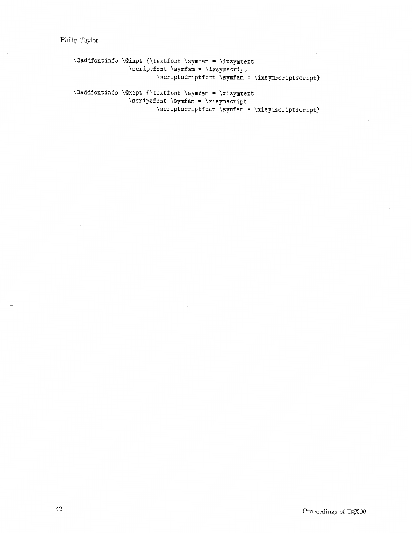Philip Taylor

**\Qaddfontinfo \Qixpt <\textfont \symfam** = **\ixsymtext \scriptf ont \symf am** = **\ixsymscript \scriptscriptfont \symfam** = **\ixsymscriptscript)** 

\@addfontinfo \@xipt {\textfont \symfam = \xisymtext \scriptfont \symfam = \xisymscript \scriptscriptfont \symfam = \xisymscriptscript}

 $\mathbf{r}$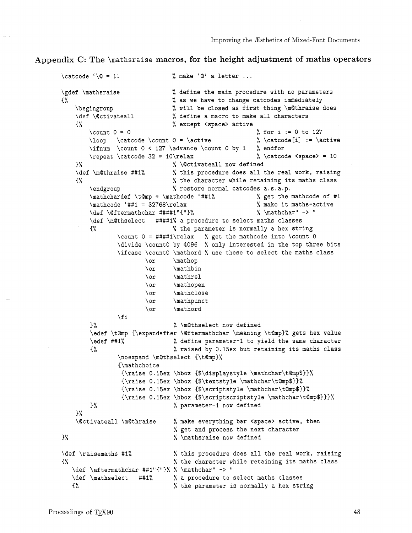Appendix C: The **\mathsraise** macros, for the height adjustment of maths operators

```
\text{Value } \left( \mathbb{Q} = 11 \right) % make '\mathbb{Q}'' a letter ...
\gdef \mathsraise % define the main procedure with no parameters 
C% % as we have to change catcodes immediately 
   \begingroup % will be closed as first thing \m@thraise does
   \def \@ctivateall \% define a macro to make all characters
   C% % except <space> active 
       \count 0 = 0 % for i := 0 to 127 
       \lozenge \catch 0 = \active\ifnum \count 0 < 127 \advance \count 0 by 1 % endfor 
       \repeat \catcode 32 = 10\text{ rad} % \catcode <space> = 10
   \frac{1}{2} % \Ctivateall now defined
   \def \mathraise ##I% % this procedure does all the real work, raising 
   <% % the character while retaining its maths class 
       \endgroup % restore normal catcodes a.s.a.p.
       \mathcal{F} \mathcal{M} \mathchardef \t@mp = \mathcode '##1% \mathcal{M} get the mathcode of #1 \mathcode '##1 = 32768\relax \mathcal{M} make it maths-active
       \mathcode '##1 = 32768\relax \lambda make it maths-active 1.1 \def \@ftermathchar ####1"{"}% \mathchar" -> "
       \det \left( \mathcal{C} \right)\def \m@thselect ####I% a procedure to select maths classes 
       C% % the parameter is normally a hex string 
              \count 0 = # # # #1\red x % get the mathcode into \count 0
              \divide \count0 by 4096 % only interested in the top three bits 
              \ifcase \count0 \mathord % use these to select the maths class 
                     \or \mathop
                     \or \mathbin 
                     \or \mathrel
                     \or \mathopen
                     \or \mathclose
                     \or \mathpunct
                     \or \mathord
              \chi fi
       1% % \mathselect now defined 
       \edef \t@mp {\expandafter \@ftermathchar \meaning \t@mp}% gets hex value
       \edef ##1% \sqrt{ } & define parameter-1 to yield the same character
       <% % raised by 0.15ex but retaining its maths class 
              \noexpand \m@thselect {\t@mp}%
              {\mathchoice 
               {\raise 0.15ex \hbox <$\displaystyle \mathchar\tQmp$)>% 
               \{\raisebox{1em}{$\sim$} \}{\raise 0.15ex \hbox {$\scriptstyle \mathchar\t@mp$}}%
               {\raise 0.15ex \hbox C$\scriptscriptstyle \mathchar\tQmp$)>)% 
       > % % parameter-I now defined 
   >% 
   \@ctivateall \m@thraise % make everything bar <space> active, then
                             % get and process the next character
\frac{1}{u} % \mathsraise now defined
\def \raisemaths #1% \frac{1}{8} % this procedure does all the real work, raising
{% % the character while retaining its maths class 
  \def \aftermathchar ##l"C1'>% % \mathchar" -> l1 
  \def \mathselect ##1% % a procedure to select maths classes
  C% % the parameter is normally a hex string
```